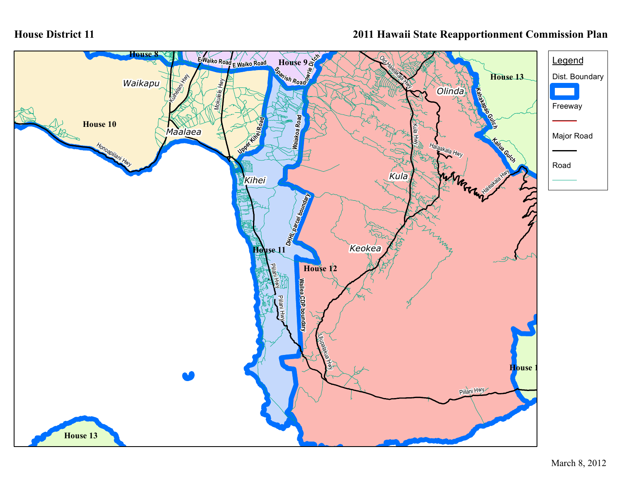## **House District 11**

## **2011 Hawaii State Reapportionment Commission Plan**